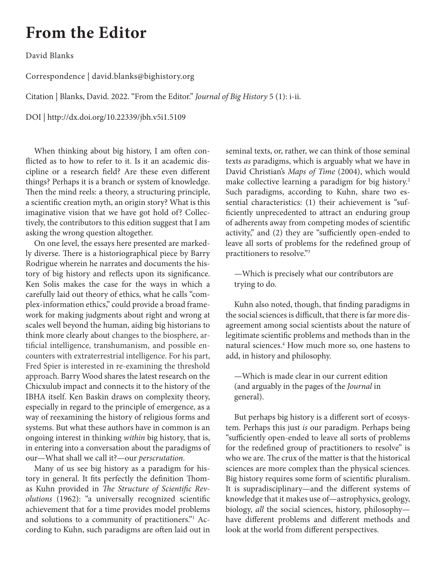## <span id="page-0-0"></span>**From the Editor**

David Blanks

Correspondence | david.blanks@bighistory.org

Citation | Blanks, David. 2022. "From the Editor." *Journal of Big History* 5 (1): i-ii.

DOI | http://dx.doi.org/10.22339/jbh.v5i1.5109

When thinking about big history, I am often conflicted as to how to refer to it. Is it an academic discipline or a research field? Are these even different things? Perhaps it is a branch or system of knowledge. Then the mind reels: a theory, a structuring principle, a scientific creation myth, an origin story? What is this imaginative vision that we have got hold of? Collectively, the contributors to this edition suggest that I am asking the wrong question altogether.

On one level, the essays here presented are markedly diverse. There is a historiographical piece by Barry Rodrigue wherein he narrates and documents the history of big history and reflects upon its significance. Ken Solis makes the case for the ways in which a carefully laid out theory of ethics, what he calls "complex-information ethics," could provide a broad framework for making judgments about right and wrong at scales well beyond the human, aiding big historians to think more clearly about changes to the biosphere, artificial intelligence, transhumanism, and possible encounters with extraterrestrial intelligence. For his part, Fred Spier is interested in re-examining the threshold approach. Barry Wood shares the latest research on the Chicxulub impact and connects it to the history of the IBHA itself. Ken Baskin draws on complexity theory, especially in regard to the principle of emergence, as a way of reexamining the history of religious forms and systems. But what these authors have in common is an ongoing interest in thinking *within* big history, that is, in entering into a conversation about the paradigms of our—What shall we call it?—our *perscrutation*.

Many of us see big history as a paradigm for history in general. It fits perfectly the definition Thomas Kuhn provided in *The Structure of Scientific Revolutions* (1962): "a universally recognized scientific achievement that for a time provides model problems and solutions to a community of practitioners."<sup>1</sup> According to Kuhn, such paradigms are often laid out in

seminal texts, or, rather, we can think of those seminal texts *as* paradigms, which is arguably what we have in David Christian's *Maps of Time* (2004), which would make collective learning a paradigm for big history.<sup>[2](#page-1-0)</sup> Such paradigms, according to Kuhn, share two essential characteristics: (1) their achievement is "sufficiently unprecedented to attract an enduring group of adherents away from competing modes of scientific activity," and (2) they are "sufficiently open-ended to leave all sorts of problems for the redefined group of practitioners to resolve."[3](#page-1-0)

—Which is precisely what our contributors are trying to do.

Kuhn also noted, though, that finding paradigms in the social sciences is difficult, that there is far more disagreement among social scientists about the nature of legitimate scientific problems and methods than in the natural sciences.[4](#page-1-0) How much more so, one hastens to add, in history and philosophy.

—Which is made clear in our current edition (and arguably in the pages of the *Journal* in general).

But perhaps big history is a different sort of ecosystem. Perhaps this just *is* our paradigm. Perhaps being "sufficiently open-ended to leave all sorts of problems for the redefined group of practitioners to resolve" is who we are. The crux of the matter is that the historical sciences are more complex than the physical sciences. Big history requires some form of scientific pluralism. It is supradisciplinary—and the different systems of knowledge that it makes use of—astrophysics, geology, biology, *all* the social sciences, history, philosophy have different problems and different methods and look at the world from different perspectives.